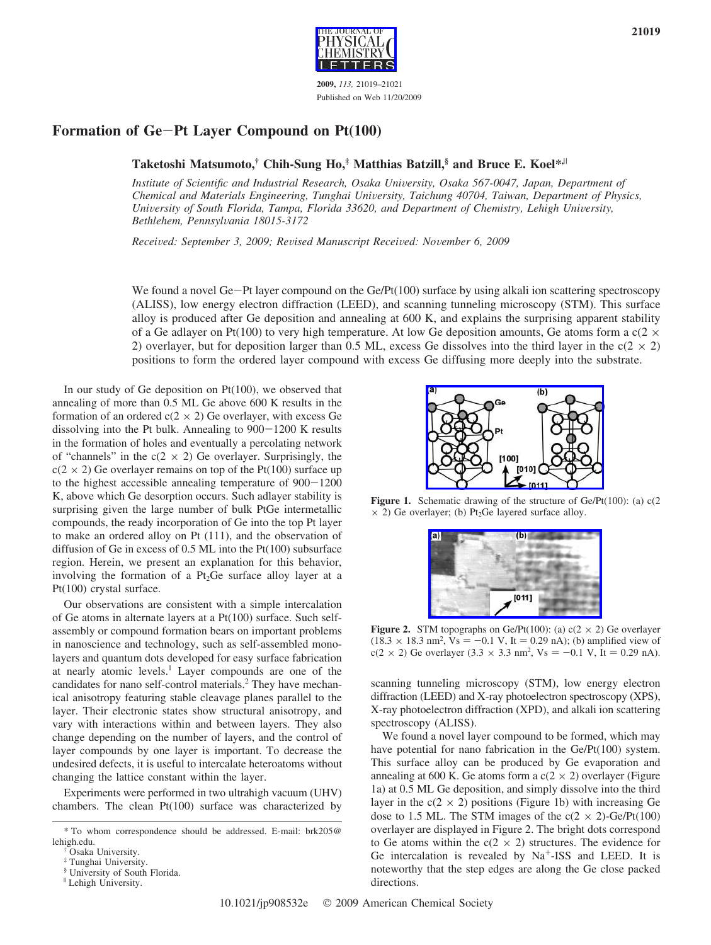

## **Formation of Ge**-**Pt Layer Compound on Pt(100)**

## **Taketoshi Matsumoto,† Chih-Sung Ho,‡ Matthias Batzill,§ and Bruce E. Koel\*,**<sup>|</sup>

*Institute of Scientific and Industrial Research, Osaka University, Osaka 567-0047, Japan, Department of Chemical and Materials Engineering, Tunghai Uni*V*ersity, Taichung 40704, Taiwan, Department of Physics, University of South Florida, Tampa, Florida 33620, and Department of Chemistry, Lehigh University, Bethlehem, Pennsyl*V*ania 18015-3172*

*Recei*V*ed: September 3, 2009; Re*V*ised Manuscript Recei*V*ed: No*V*ember 6, 2009*

We found a novel Ge-Pt layer compound on the Ge/Pt(100) surface by using alkali ion scattering spectroscopy (ALISS), low energy electron diffraction (LEED), and scanning tunneling microscopy (STM). This surface alloy is produced after Ge deposition and annealing at 600 K, and explains the surprising apparent stability of a Ge adlayer on Pt(100) to very high temperature. At low Ge deposition amounts, Ge atoms form a c( $2 \times$ 2) overlayer, but for deposition larger than 0.5 ML, excess Ge dissolves into the third layer in the  $c(2 \times 2)$ positions to form the ordered layer compound with excess Ge diffusing more deeply into the substrate.

In our study of Ge deposition on Pt(100), we observed that annealing of more than 0.5 ML Ge above 600 K results in the formation of an ordered  $c(2 \times 2)$  Ge overlayer, with excess Ge dissolving into the Pt bulk. Annealing to 900-1200 K results in the formation of holes and eventually a percolating network of "channels" in the  $c(2 \times 2)$  Ge overlayer. Surprisingly, the  $c(2 \times 2)$  Ge overlayer remains on top of the Pt(100) surface up to the highest accessible annealing temperature of 900-<sup>1200</sup> K, above which Ge desorption occurs. Such adlayer stability is surprising given the large number of bulk PtGe intermetallic compounds, the ready incorporation of Ge into the top Pt layer to make an ordered alloy on Pt (111), and the observation of diffusion of Ge in excess of 0.5 ML into the Pt(100) subsurface region. Herein, we present an explanation for this behavior, involving the formation of a  $Pt<sub>2</sub>Ge$  surface alloy layer at a Pt(100) crystal surface.

Our observations are consistent with a simple intercalation of Ge atoms in alternate layers at a Pt(100) surface. Such selfassembly or compound formation bears on important problems in nanoscience and technology, such as self-assembled monolayers and quantum dots developed for easy surface fabrication at nearly atomic levels.<sup>1</sup> Layer compounds are one of the candidates for nano self-control materials.<sup>2</sup> They have mechanical anisotropy featuring stable cleavage planes parallel to the layer. Their electronic states show structural anisotropy, and vary with interactions within and between layers. They also change depending on the number of layers, and the control of layer compounds by one layer is important. To decrease the undesired defects, it is useful to intercalate heteroatoms without changing the lattice constant within the layer.

Experiments were performed in two ultrahigh vacuum (UHV) chambers. The clean Pt(100) surface was characterized by



**Figure 1.** Schematic drawing of the structure of Ge/Pt(100): (a) c(2)  $\times$  2) Ge overlayer; (b) Pt<sub>2</sub>Ge layered surface alloy.



**Figure 2.** STM topographs on Ge/Pt(100): (a)  $c(2 \times 2)$  Ge overlayer  $(18.3 \times 18.3 \text{ nm}^2, \text{Vs} = -0.1 \text{ V}, \text{It} = 0.29 \text{ nA})$ ; (b) amplified view of  $c(2 \times 2)$  Ge overlayer  $(3.3 \times 3.3 \text{ nm}^2, \text{Vs} = -0.1 \text{ V}, \text{It} = 0.29 \text{ nA})$  $c(2 \times 2)$  Ge overlayer  $(3.3 \times 3.3 \text{ nm}^2, \text{Vs} = -0.1 \text{ V}, \text{ It} = 0.29 \text{ nA}).$ 

scanning tunneling microscopy (STM), low energy electron diffraction (LEED) and X-ray photoelectron spectroscopy (XPS), X-ray photoelectron diffraction (XPD), and alkali ion scattering spectroscopy (ALISS).

We found a novel layer compound to be formed, which may have potential for nano fabrication in the Ge/Pt(100) system. This surface alloy can be produced by Ge evaporation and annealing at 600 K. Ge atoms form a  $c(2 \times 2)$  overlayer (Figure 1a) at 0.5 ML Ge deposition, and simply dissolve into the third layer in the  $c(2 \times 2)$  positions (Figure 1b) with increasing Ge dose to 1.5 ML. The STM images of the  $c(2 \times 2)$ -Ge/Pt(100) overlayer are displayed in Figure 2. The bright dots correspond to Ge atoms within the  $c(2 \times 2)$  structures. The evidence for Ge intercalation is revealed by  $Na^+$ -ISS and LEED. It is noteworthy that the step edges are along the Ge close packed directions.

<sup>\*</sup> To whom correspondence should be addressed. E-mail: brk205@

Osaka University.

Tunghai University.

<sup>§</sup> University of South Florida.

<sup>|</sup> Lehigh University.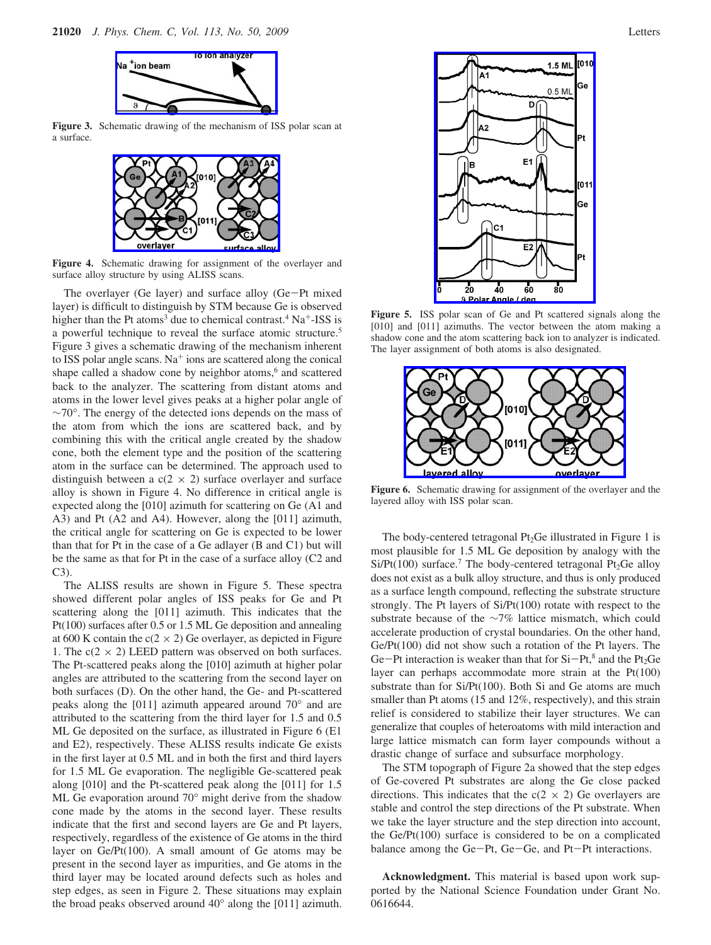

**Figure 3.** Schematic drawing of the mechanism of ISS polar scan at a surface.



**Figure 4.** Schematic drawing for assignment of the overlayer and surface alloy structure by using ALISS scans.

The overlayer (Ge layer) and surface alloy (Ge-Pt mixed layer) is difficult to distinguish by STM because Ge is observed higher than the Pt atoms<sup>3</sup> due to chemical contrast.<sup>4</sup> Na<sup>+</sup>-ISS is a powerful technique to reveal the surface atomic structure.<sup>5</sup> Figure 3 gives a schematic drawing of the mechanism inherent to ISS polar angle scans.  $Na<sup>+</sup>$  ions are scattered along the conical shape called a shadow cone by neighbor atoms,<sup>6</sup> and scattered back to the analyzer. The scattering from distant atoms and atoms in the lower level gives peaks at a higher polar angle of ∼70°. The energy of the detected ions depends on the mass of the atom from which the ions are scattered back, and by combining this with the critical angle created by the shadow cone, both the element type and the position of the scattering atom in the surface can be determined. The approach used to distinguish between a  $c(2 \times 2)$  surface overlayer and surface alloy is shown in Figure 4. No difference in critical angle is expected along the [010] azimuth for scattering on Ge (A1 and A3) and Pt (A2 and A4). However, along the [011] azimuth, the critical angle for scattering on Ge is expected to be lower than that for Pt in the case of a Ge adlayer (B and C1) but will be the same as that for Pt in the case of a surface alloy (C2 and C3).

The ALISS results are shown in Figure 5. These spectra showed different polar angles of ISS peaks for Ge and Pt scattering along the [011] azimuth. This indicates that the Pt(100) surfaces after 0.5 or 1.5 ML Ge deposition and annealing at 600 K contain the  $c(2 \times 2)$  Ge overlayer, as depicted in Figure 1. The  $c(2 \times 2)$  LEED pattern was observed on both surfaces. The Pt-scattered peaks along the [010] azimuth at higher polar angles are attributed to the scattering from the second layer on both surfaces (D). On the other hand, the Ge- and Pt-scattered peaks along the [011] azimuth appeared around 70° and are attributed to the scattering from the third layer for 1.5 and 0.5 ML Ge deposited on the surface, as illustrated in Figure 6 (E1 and E2), respectively. These ALISS results indicate Ge exists in the first layer at 0.5 ML and in both the first and third layers for 1.5 ML Ge evaporation. The negligible Ge-scattered peak along [010] and the Pt-scattered peak along the [011] for 1.5 ML Ge evaporation around 70° might derive from the shadow cone made by the atoms in the second layer. These results indicate that the first and second layers are Ge and Pt layers, respectively, regardless of the existence of Ge atoms in the third layer on Ge/Pt(100). A small amount of Ge atoms may be present in the second layer as impurities, and Ge atoms in the third layer may be located around defects such as holes and step edges, as seen in Figure 2. These situations may explain the broad peaks observed around 40° along the [011] azimuth.



**Figure 5.** ISS polar scan of Ge and Pt scattered signals along the [010] and [011] azimuths. The vector between the atom making a shadow cone and the atom scattering back ion to analyzer is indicated. The layer assignment of both atoms is also designated.

60

80

40

**9 Polar Angl** 

 $20$ 



Figure 6. Schematic drawing for assignment of the overlayer and the layered alloy with ISS polar scan.

The body-centered tetragonal  $Pt<sub>2</sub>Ge$  illustrated in Figure 1 is most plausible for 1.5 ML Ge deposition by analogy with the  $Si/Pt(100)$  surface.<sup>7</sup> The body-centered tetragonal Pt<sub>2</sub>Ge alloy does not exist as a bulk alloy structure, and thus is only produced as a surface length compound, reflecting the substrate structure strongly. The Pt layers of Si/Pt(100) rotate with respect to the substrate because of the ∼7% lattice mismatch, which could accelerate production of crystal boundaries. On the other hand, Ge/Pt(100) did not show such a rotation of the Pt layers. The Ge-Pt interaction is weaker than that for  $Si-Pt$ ,<sup>8</sup> and the Pt<sub>2</sub>Ge layer can perhaps accommodate more strain at the Pt(100) substrate than for Si/Pt(100). Both Si and Ge atoms are much smaller than Pt atoms (15 and 12%, respectively), and this strain relief is considered to stabilize their layer structures. We can generalize that couples of heteroatoms with mild interaction and large lattice mismatch can form layer compounds without a drastic change of surface and subsurface morphology.

The STM topograph of Figure 2a showed that the step edges of Ge-covered Pt substrates are along the Ge close packed directions. This indicates that the  $c(2 \times 2)$  Ge overlayers are stable and control the step directions of the Pt substrate. When we take the layer structure and the step direction into account, the Ge/Pt(100) surface is considered to be on a complicated balance among the Ge-Pt, Ge-Ge, and Pt-Pt interactions.

**Acknowledgment.** This material is based upon work supported by the National Science Foundation under Grant No. 0616644.